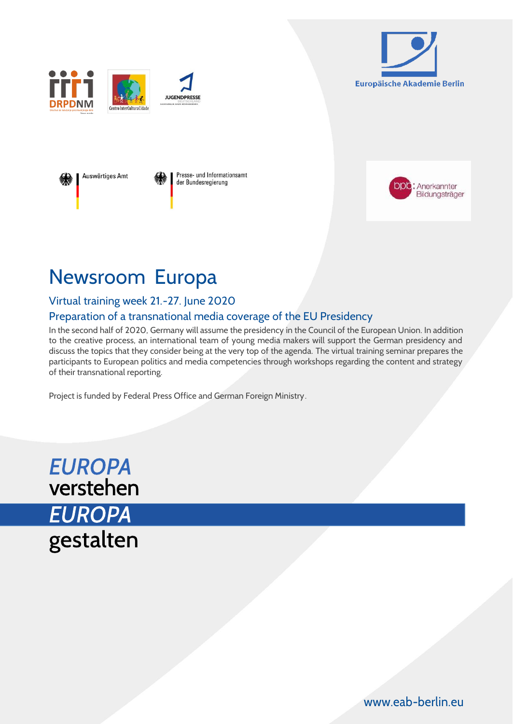











# Newsroom Europa

### Virtual training week 21.-27. June 2020

### Preparation of a transnational media coverage of the EU Presidency

In the second half of 2020, Germany will assume the presidency in the Council of the European Union. In addition to the creative process, an international team of young media makers will support the German presidency and discuss the topics that they consider being at the very top of the agenda. The virtual training seminar prepares the participants to European politics and media competencies through workshops regarding the content and strategy of their transnational reporting.

Project is funded by Federal Press Office and German Foreign Ministry.

**EUROPA** verstehen **EUROPA** gestalten

[www.eab-berlin.eu](http://www.eab-berlin.eu/)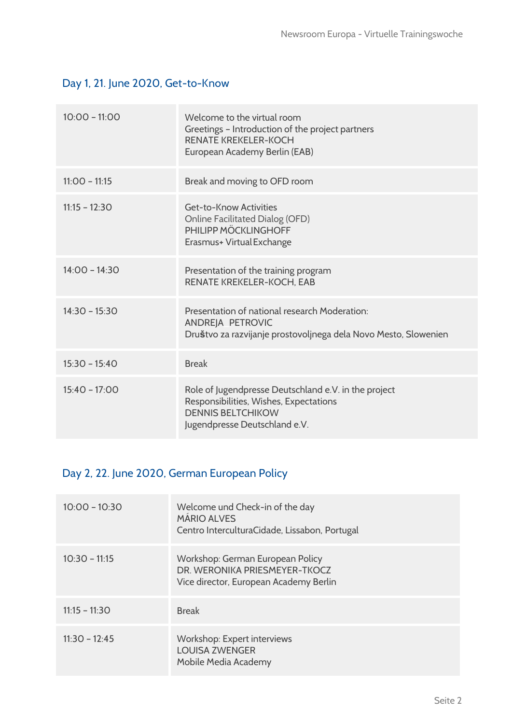### Day 1, 21. June 2020, Get-to-Know

| $10:00 - 11:00$ | Welcome to the virtual room<br>Greetings - Introduction of the project partners<br><b>RENATE KREKELER-KOCH</b><br>European Academy Berlin (EAB)             |
|-----------------|-------------------------------------------------------------------------------------------------------------------------------------------------------------|
| $11:00 - 11:15$ | Break and moving to OFD room                                                                                                                                |
| $11:15 - 12:30$ | Get-to-Know Activities<br><b>Online Facilitated Dialog (OFD)</b><br>PHILIPP MÖCKLINGHOFF<br>Erasmus+ Virtual Exchange                                       |
| $14:00 - 14:30$ | Presentation of the training program<br>RENATE KREKELER-KOCH, EAB                                                                                           |
| $14:30 - 15:30$ | Presentation of national research Moderation:<br>ANDREJA PETROVIC<br>Društvo za razvijanje prostovoljnega dela Novo Mesto, Slowenien                        |
| $15:30 - 15:40$ | <b>Break</b>                                                                                                                                                |
| $15:40 - 17:00$ | Role of Jugendpresse Deutschland e.V. in the project<br>Responsibilities, Wishes, Expectations<br><b>DENNIS BELTCHIKOW</b><br>Jugendpresse Deutschland e.V. |

# Day 2, 22. June 2020, German European Policy

| $10:00 - 10:30$ | Welcome und Check-in of the day<br><b>MÁRIO ALVES</b><br>Centro InterculturaCidade, Lissabon, Portugal      |
|-----------------|-------------------------------------------------------------------------------------------------------------|
| $10:30 - 11:15$ | Workshop: German European Policy<br>DR. WERONIKA PRIESMEYER-TKOCZ<br>Vice director, European Academy Berlin |
| $11:15 - 11:30$ | <b>Break</b>                                                                                                |
| $11:30 - 12:45$ | Workshop: Expert interviews<br><b>LOUISA ZWENGER</b><br>Mobile Media Academy                                |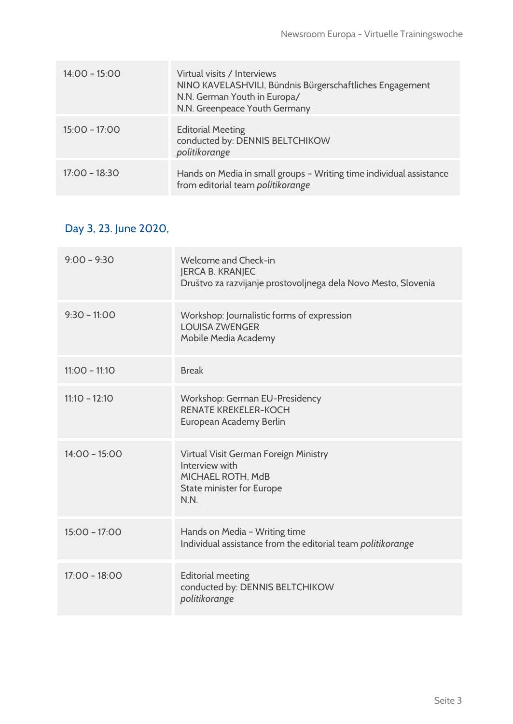| $14:00 - 15:00$ | Virtual visits / Interviews<br>NINO KAVELASHVILI, Bündnis Bürgerschaftliches Engagement<br>N.N. German Youth in Europa/<br>N.N. Greenpeace Youth Germany |
|-----------------|----------------------------------------------------------------------------------------------------------------------------------------------------------|
| $15:00 - 17:00$ | <b>Editorial Meeting</b><br>conducted by: DENNIS BELTCHIKOW<br>politikorange                                                                             |
| $17:00 - 18:30$ | Hands on Media in small groups - Writing time individual assistance<br>from editorial team politikorange                                                 |

### Day 3, 23. June 2020,

| $9:00 - 9:30$   | Welcome and Check-in<br><b>JERCA B. KRANJEC</b><br>Društvo za razvijanje prostovoljnega dela Novo Mesto, Slovenia |
|-----------------|-------------------------------------------------------------------------------------------------------------------|
| $9:30 - 11:00$  | Workshop: Journalistic forms of expression<br><b>LOUISA ZWENGER</b><br>Mobile Media Academy                       |
| $11:00 - 11:10$ | <b>Break</b>                                                                                                      |
| $11:10 - 12:10$ | Workshop: German EU-Presidency<br><b>RENATE KREKELER-KOCH</b><br>European Academy Berlin                          |
| $14:00 - 15:00$ | Virtual Visit German Foreign Ministry<br>Interview with<br>MICHAEL ROTH, MdB<br>State minister for Europe<br>N.N. |
| $15:00 - 17:00$ | Hands on Media - Writing time<br>Individual assistance from the editorial team politikorange                      |
| $17:00 - 18:00$ | <b>Editorial meeting</b><br>conducted by: DENNIS BELTCHIKOW<br>politikorange                                      |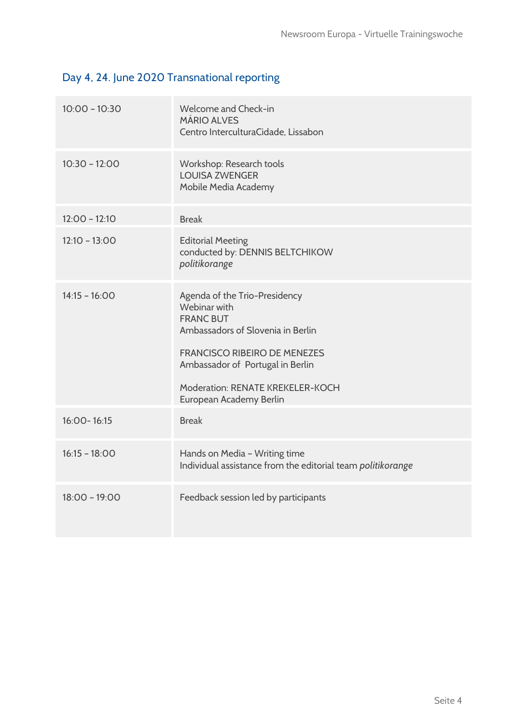# Day 4, 24. June 2020 Transnational reporting

| $10:00 - 10:30$ | Welcome and Check-in<br><b>MÁRIO ALVES</b><br>Centro InterculturaCidade, Lissabon                                                                                                                                                                |
|-----------------|--------------------------------------------------------------------------------------------------------------------------------------------------------------------------------------------------------------------------------------------------|
| $10:30 - 12:00$ | Workshop: Research tools<br><b>LOUISA ZWENGER</b><br>Mobile Media Academy                                                                                                                                                                        |
| $12:00 - 12:10$ | <b>Break</b>                                                                                                                                                                                                                                     |
| $12:10 - 13:00$ | <b>Editorial Meeting</b><br>conducted by: DENNIS BELTCHIKOW<br>politikorange                                                                                                                                                                     |
| $14:15 - 16:00$ | Agenda of the Trio-Presidency<br>Webinar with<br><b>FRANC BUT</b><br>Ambassadors of Slovenia in Berlin<br><b>FRANCISCO RIBEIRO DE MENEZES</b><br>Ambassador of Portugal in Berlin<br>Moderation: RENATE KREKELER-KOCH<br>European Academy Berlin |
| 16:00-16:15     | <b>Break</b>                                                                                                                                                                                                                                     |
| $16:15 - 18:00$ | Hands on Media - Writing time<br>Individual assistance from the editorial team politikorange                                                                                                                                                     |
| $18:00 - 19:00$ | Feedback session led by participants                                                                                                                                                                                                             |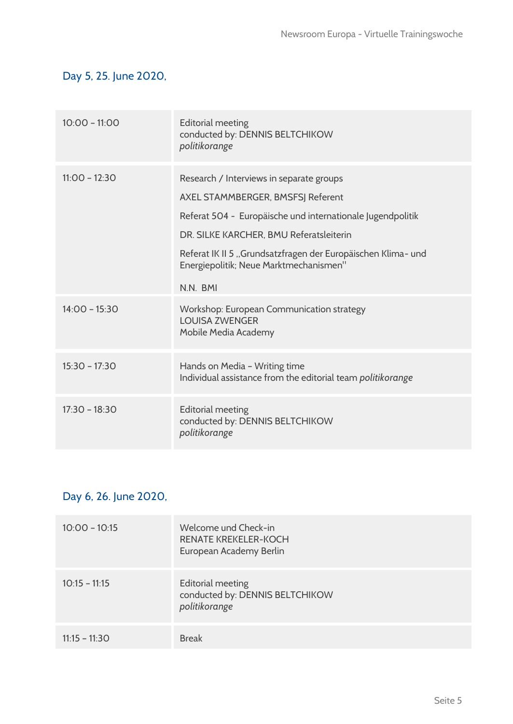### Day 5, 25. June 2020,

| $10:00 - 11:00$ | <b>Editorial meeting</b><br>conducted by: DENNIS BELTCHIKOW<br>politikorange                                                                                                                                                                                                                                 |
|-----------------|--------------------------------------------------------------------------------------------------------------------------------------------------------------------------------------------------------------------------------------------------------------------------------------------------------------|
| $11:00 - 12:30$ | Research / Interviews in separate groups<br>AXEL STAMMBERGER, BMSFSJ Referent<br>Referat 504 - Europäische und internationale Jugendpolitik<br>DR. SILKE KARCHER, BMU Referatsleiterin<br>Referat IK II 5 "Grundsatzfragen der Europäischen Klima- und<br>Energiepolitik; Neue Marktmechanismen"<br>N.N. BMI |
| $14:00 - 15:30$ | Workshop: European Communication strategy<br><b>LOUISA ZWENGER</b><br>Mobile Media Academy                                                                                                                                                                                                                   |
| $15:30 - 17:30$ | Hands on Media - Writing time<br>Individual assistance from the editorial team politikorange                                                                                                                                                                                                                 |
| $17:30 - 18:30$ | <b>Editorial meeting</b><br>conducted by: DENNIS BELTCHIKOW<br>politikorange                                                                                                                                                                                                                                 |

### Day 6, 26. June 2020,

| $10:00 - 10:15$ | Welcome und Check-in<br><b>RENATE KREKELER-KOCH</b><br>European Academy Berlin |
|-----------------|--------------------------------------------------------------------------------|
| $10:15 - 11:15$ | <b>Editorial meeting</b><br>conducted by: DENNIS BELTCHIKOW<br>politikorange   |
| $11:15 - 11:30$ | <b>Break</b>                                                                   |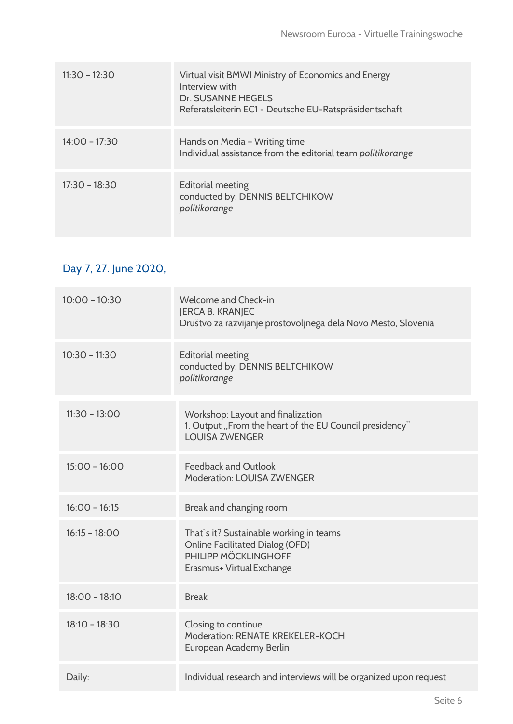| $11:30 - 12:30$ | Virtual visit BMWI Ministry of Economics and Energy<br>Interview with<br><b>Dr. SUSANNE HEGELS</b><br>Referatsleiterin EC1 - Deutsche EU-Ratspräsidentschaft |
|-----------------|--------------------------------------------------------------------------------------------------------------------------------------------------------------|
| $14:00 - 17:30$ | Hands on Media - Writing time<br>Individual assistance from the editorial team politikorange                                                                 |
| $17:30 - 18:30$ | <b>Editorial meeting</b><br>conducted by: DENNIS BELTCHIKOW<br>politikorange                                                                                 |

# Day 7, 27. June 2020,

| $10:00 - 10:30$ | Welcome and Check-in<br><b>JERCA B. KRANJEC</b><br>Društvo za razvijanje prostovoljnega dela Novo Mesto, Slovenia                      |
|-----------------|----------------------------------------------------------------------------------------------------------------------------------------|
| $10:30 - 11:30$ | <b>Editorial meeting</b><br>conducted by: DENNIS BELTCHIKOW<br>politikorange                                                           |
| $11:30 - 13:00$ | Workshop: Layout and finalization<br>1. Output "From the heart of the EU Council presidency"<br><b>LOUISA ZWENGER</b>                  |
| $15:00 - 16:00$ | <b>Feedback and Outlook</b><br><b>Moderation: LOUISA ZWENGER</b>                                                                       |
| $16:00 - 16:15$ | Break and changing room                                                                                                                |
| $16:15 - 18:00$ | That's it? Sustainable working in teams<br><b>Online Facilitated Dialog (OFD)</b><br>PHILIPP MÖCKLINGHOFF<br>Erasmus+ Virtual Exchange |
| $18:00 - 18:10$ | <b>Break</b>                                                                                                                           |
| $18:10 - 18:30$ | Closing to continue<br>Moderation: RENATE KREKELER-KOCH<br>European Academy Berlin                                                     |
| Daily:          | Individual research and interviews will be organized upon request                                                                      |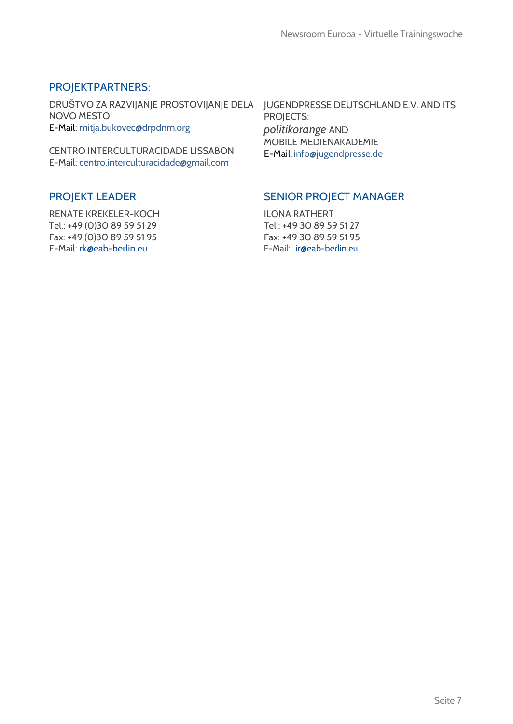### PROJEKTPARTNERS:

DRUŠTVO ZA RAZVIJANJE PROSTOVIJANJE DELA JUGENDPRESSE DEUTSCHLAND E.V. AND ITS NOVO MESTO E-Mail: [mitja.bukovec@drpdnm.org](mailto:mitja.bukovec@drpdnm.org)

CENTRO INTERCULTURACIDADE LISSABON E-Mail: [centro.interculturacidade@gmail.com](mailto:centro.interculturacidade@gmail.com)

#### PROJEKT LEADER

RENATE KREKELER-KOCH Tel.: +49 (0)30 89 59 51 29 Fax: +49 (0)30 89 59 51 95 E-Mail: [rk@eab-berlin.eu](mailto:rk@eab-berlin.eu)

PROJECTS: *politikorange* AND MOBILE MEDIENAKADEMIE E-Mail: [info@jugendpresse.de](mailto:info@jugendpresse.de)

#### SENIOR PROJECT MANAGER

ILONA RATHERT Tel.: +49 30 89 59 51 27 Fax: +49 30 89 59 51 95 E-Mail: [ir@eab-berlin.eu](mailto:ir@eab-berlin.eu)